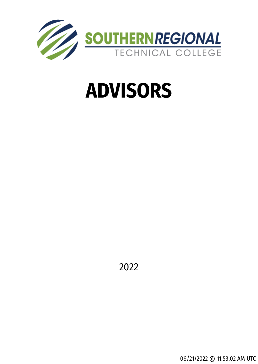

# **ADVISORS**

2022

06/21/2022 @ 11:53:02 AM UTC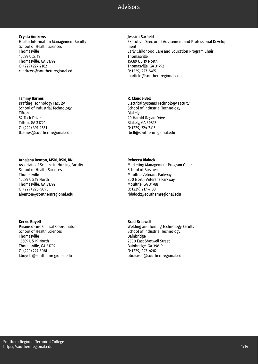#### **Crysta Andrews**

Health Information Management Faculty School of Health Sciences Thomasville 15689 U.S. 19 Thomasville, GA 31792 O: (229) 227-2162 candrews@southernregional.edu

#### **Tammy Barnes**

Drafting Technology Faculty School of Industrial Technology Tifton 52 Tech Drive Tifton, GA 31794 O: (229) 391-2631 tbarnes@southernregional.edu

#### **Athalena Benton, MSN, BSN, RN**

Associate of Science in Nursing Faculty School of Health Sciences **Thomasville** 15689 US 19 North Thomasville, GA 31792 O: (229) 225-5090 abenton@southernregional.edu

#### **Kerrie Boyett**

Paramedicine Clinical Coordinator School of Health Sciences **Thomasville** 15689 US 19 North Thomasville, GA 31792 O: (229) 227-3061 kboyett@southernregional.edu

#### **Jessica Barfield**

Executive Director of Advisement and Professional Develop ment Early Childhood Care and Education Program Chair **Thomasville** 15689 US 19 North Thomasville, GA 31792 O: (229) 227-2485 jbarfield@southernregional.edu

#### **R. Claude Bell**

Electrical Systems Technology Faculty School of Industrial Technology Blakely 40 Harold Ragan Drive Blakely, GA 39823 O: (229) 724-2415 rbell@southernregional.edu

# **Rebecca Blalock**

Marketing Management Program Chair School of Business Moultrie Veterans Parkway 800 North Veterans Parkway Moultrie, GA 31788 O: (229) 217-4180 rblalock@southernregional.edu

# **Brad Braswell**

Welding and Joining Technology Faculty School of Industrial Technology Bainbridge 2500 East Shotwell Street Bainbridge, GA 39819 O: (229) 243-4262 bbraswell@southernregional.edu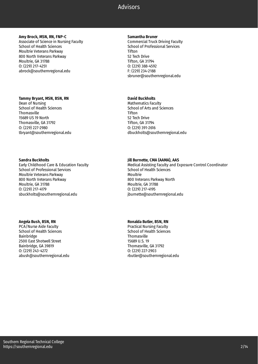#### **Amy Brock, MSN, RN, FNP-C**

Associate of Science in Nursing Faculty School of Health Sciences Moultrie Veterans Parkway 800 North Veterans Parkway Moultrie, GA 31788 O: (229) 217-4251 abrock@southernregional.edu

#### **Tammy Bryant, MSN, BSN, RN**

Dean of Nursing School of Health Sciences **Thomasville** 15689 US 19 North Thomasville, GA 31792 O: (229) 227-2980 tbryant@southernregional.edu

#### **Sandra Buckholts**

Early Childhood Care & Education Faculty School of Professional Services Moultrie Veterans Parkway 800 North Veterans Parkway Moultrie, GA 31788 O: (229) 217-4179 sbuckholts@southernregional.edu

# **Angela Bush, BSN, RN**

PCA/Nurse Aide Faculty School of Health Sciences Bainbridge 2500 East Shotwell Street Bainbridge, GA 39819 O: (229) 243-4272 abush@southernregional.edu

#### **Samantha Bruner**

Commercial Truck Driving Faculty School of Professional Services Tifton 52 Tech Drive Tifton, GA 31794 O: (229) 388-4592 F: (229) 234-2188 sbruner@southernregional.edu

# **David Buckholts**

Mathematics Faculty School of Arts and Sciences Tifton 52 Tech Drive Tifton, GA 31794 O: (229) 391-2616 dbuckholts@southernregional.edu

# **Jill Burnette, CMA (AAMA), AAS**

Medical Assisting Faculty and Exposure Control Coordinator School of Health Sciences Moultrie 800 Veterans Parkway North Moultrie, GA 31788 O: (229) 217-4195 jburnette@southernregional.edu

# **Ronalda Butler, BSN, RN**

Practical Nursing Faculty School of Health Sciences **Thomasville** 15689 U.S. 19 Thomasville, GA 31792 O: (229) 227-2903 rbutler@southernregional.edu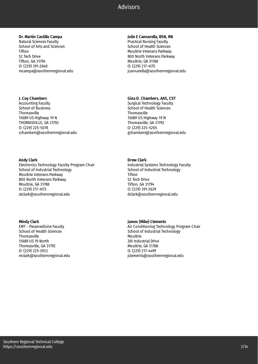# **Dr. Martin Castillo Campa**

Natural Sciences Faculty School of Arts and Sciences Tifton 52 Tech Drive Tifton, GA 31794 O: (229) 391-2640 mcampa@southernregional.edu

# **J. Coy Chambers**

Accounting Faculty School of Business **Thomasville** 15689 US Highway 19 N THOMASVILLE, GA 31792 O: (229) 225-5078 cchambers@southernregional.edu

#### **Andy Clark**

Electronics Technology Faculty Program Chair School of Industrial Technology Moultrie Veterans Parkway 800 North Veterans Parkway Moultrie, GA 31788 O: (229) 217-4173 atclark@southernregional.edu

#### **Mindy Clark**

EMT - Paramedicine Faculty School of Health Sciences **Thomasville** 15689 US 19 North Thomasville, GA 31792 O: (229) 225-3933 mclark@southernregional.edu

#### **Julie E Cannarella, BSN, RN**

Practical Nursing Faculty School of Health Sciences Moultrie Veterans Parkway 800 North Veterans Parkway Moultrie, GA 31768 O: (229) 217-4175 jcannarella@southernregional.edu

# **Gina D. Chambers, AAS, CST**

Surgical Technology Faculty School of Health Sciences **Thomasville** 15689 US Highway 19 N Thomasville, GA 31792 O: (229) 225-5205 gchambers@southernregional.edu

# **Drew Clark**

Industrial Systems Technology Faculty School of Industrial Technology Tifton 52 Tech Drive Tifton, GA 31794 O: (229) 391-2639 dclark@southernregional.edu

# **James (Mike) Clements**

Air Conditioning Technology Program Chair School of Industrial Technology Moultrie 361 Industrial Drive Moultrie, GA 31788 O: (229) 217-4499 jclements@southernregional.edu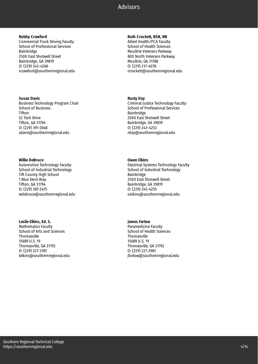#### **Robby Crawford**

Commercial Truck Driving Faculty School of Professional Services Bainbridge 2500 East Shotwell Street Bainbridge, GA 39819 O: (229) 243-4266 rcrawford@southernregional.edu

#### **Susan Davis**

Business Technology Program Chair School of Business Tifton 52 Tech Drive Tifton, GA 31794 O: (229) 391-2648 sdavis@southernregional.edu

#### **Willie DeBruce**

Automotive Technology Faculty School of Industrial Technology Tift County High School 1 Blue Devil Way Tifton, GA 31794 O: (229) 387-2475 wdebruce@southernregional.edu

# **Leslie Elkins, Ed. S.**

Mathematics Faculty School of Arts and Sciences **Thomasville** 15689 U.S. 19 Thomasville, GA 31792 O: (229) 227-3181 lelkins@southernregional.edu

# **Ruth Crockett, BSN, RN**

Allied Health/PCA Faculty School of Health Sciences Moultrie Veterans Parkway 800 North Veterans Parkway Moultrie, GA 31788 O: (229) 217-4078 rcrockett@southernregional.edu

#### **Rusty Day**

Criminal Justice Technology Faculty School of Professional Services Bainbridge 2500 East Shotwell Street Bainbridge, GA 39819 O: (229) 243-4253 rday@southernregional.edu

# **Owen Elkins**

Electrical Systems Technology Faculty School of Industrial Technology Bainbridge 2500 East Shotwell Street Bainbridge, GA 39819 O: (229) 243-4255 oelkins@southernregional.edu

# **James Farlow**

Paramedicine Faculty School of Health Sciences **Thomasville** 15689 U.S. 19 Thomasville, GA 31792 O: (229) 227-2981 jfarlow@southernregional.edu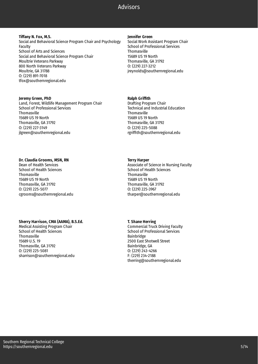#### **Tiffany N. Fox, M.S.**

Social and Behavioral Science Program Chair and Psychology Faculty School of Arts and Sciences Social and Behavioral Science Program Chair Moultrie Veterans Parkway 800 North Veterans Parkway Moultrie, GA 31788 O: (229) 891-7018 tfox@southernregional.edu

#### **Jeremy Green, PhD**

Land, Forest, Wildlife Management Program Chair School of Professional Services **Thomasville** 15689 US 19 North Thomasville, GA 31792 O: (229) 227-3149 jlgreen@southernregional.edu

# **Dr. Claudia Grooms, MSN, RN**

Dean of Health Services School of Health Sciences **Thomasville** 15689 US 19 North Thomasville, GA 31792 O: (229) 225-5077 cgrooms@southernregional.edu

# **Sherry Harrison, CMA (AAMA), B.S.Ed.**

Medical Assisting Program Chair School of Health Sciences **Thomasville** 15689 U.S. 19 Thomasville, GA 31792 O: (229) 225-5081 sharrison@southernregional.edu

#### **Jennifer Green**

Social Work Assistant Program Chair School of Professional Services Thomasville 15689 US 19 North Thomasville, GA 31792 O: (229) 227-3212 jreynolds@southernregional.edu

# **Ralph Griffith**

Drafting Program Chair Technical and Industrial Education **Thomasville** 15689 US 19 North Thomasville, GA 31792 O: (229) 225-5088 rgriffith@southernregional.edu

# **Terry Harper**

Associate of Science in Nursing Faculty School of Health Sciences **Thomasville** 15689 US 19 North Thomasville, GA 31792 O: (229) 225-3967 tharper@southernregional.edu

# **T. Shane Herring**

Commercial Truck Driving Faculty School of Professional Services Bainbridge 2500 East Shotwell Street Bainbridge, GA O: (229) 243-4266 F: (229) 234-2188 therring@southernregional.edu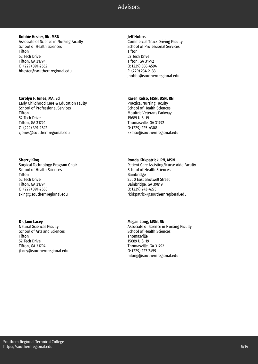#### **Bobbie Hester, RN, MSN**

Associate of Science in Nursing Faculty School of Health Sciences Tifton 52 Tech Drive Tifton, GA 31794 O: (229) 391-2652 bhester@southernregional.edu

#### **Carolyn F. Jones, MA. Ed**

Early Childhood Care & Education Faulty School of Professional Services Tifton 52 Tech Drive Tifton, GA 31794 O: (229) 391-2642 cjones@southernregional.edu

#### **Sherry King**

Surgical Technology Program Chair School of Health Sciences Tifton 52 Tech Drive Tifton, GA 31794 O: (229) 391-2638 sking@southernregional.edu

#### **Dr. Jami Lacey**

Natural Sciences Faculty School of Arts and Sciences **Tifton** 52 Tech Drive Tifton, GA 31794 jlacey@southernregional.edu

#### **Jeff Hobbs**

Commercial Truck Driving Faculty School of Professional Services Tifton 52 Tech Drive Tifton, GA 31792 O: (229) 388-4594 F: (229) 234-2188 jhobbs@southernregional.edu

# **Karen Kelso, MSN, BSN, RN**

Practical Nursing Faculty School of Health Sciences Moultrie Veterans Parkway 15689 U.S. 19 Thomasville, GA 31792 O: (229) 225-4308 kkelso@southernregional.edu

# **Ronda Kirkpatrick, RN, MSN**

Patient Care Assisting/Nurse Aide Faculty School of Health Sciences Bainbridge 2500 East Shotwell Street Bainbridge, GA 39819 O: (229) 243-4273 rkirkpatrick@southernregional.edu

# **Megan Long, MSN, RN**

Associate of Science in Nursing Faculty School of Health Sciences **Thomasville** 15689 U.S. 19 Thomasville, GA 31792 O: (229) 227-2459 mlong@southernregional.edu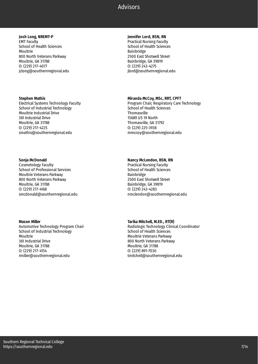**Josh Long, NREMT-P** EMT Faculty School of Health Sciences Moultrie 800 North Veterans Parkway Moultrie, GA 31788 O: (229) 217-4077 jclong@southernregional.edu

#### **Stephen Mathis**

Electrical Systems Technology Faculty School of Industrial Technology Moultrie Industrial Drive 361 Industrial Drive Moultrie, GA 31788 O: (229) 217-4225 smathis@southernregional.edu

#### **Sonja McDonald**

Cosmetology Faculty School of Professional Services Moultrie Veterans Parkway 800 North Veterans Parkway Moultrie, GA 31788 O: (229) 217-4168 smcdonald@southernregional.edu

#### **Mason Miller**

Automotive Technology Program Chair School of Industrial Technology Moultrie 361 Industrial Drive Moultrie, GA 31788 O: (229) 217-4154 rmiller@southernregional.edu

# **Jennifer Lord, BSN, RN**

Practical Nursing Faculty School of Health Sciences Bainbridge 2500 East Shotwell Street Bainbridge, GA 39819 O: (229) 243-4275 jlord@southernregional.edu

#### **Miranda McCoy, MSc, RRT, CPFT**

Program Chair, Respiratory Care Technology School of Health Sciences **Thomasville** 15689 US 19 North Thomasville, GA 31792 O: (229) 225-3938 mmccoy@southernregional.edu

#### **Nancy McLendon, BSN, RN**

Practical Nursing Faculty School of Health Sciences Bainbridge 2500 East Shotwell Street Bainbridge, GA 39819 O: (229) 243-4283 nmclendon@southernregional.edu

# **Tarika Mitchell, M.ED., RT(R)**

Radiologic Technology Clinical Coordinator School of Health Sciences Moultrie Veterans Parkway 800 North Veterans Parkway Moultrie, GA 31788 O: (229) 891-7030 tmitchell@southernregional.edu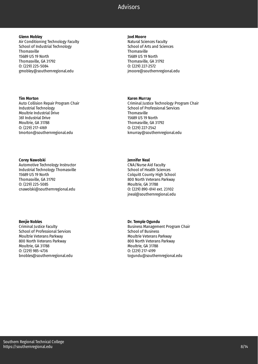#### **Glenn Mobley**

Air Conditioning Technology Faculty School of Industrial Technology Thomasville 15689 US 19 North Thomasville, GA 31792 O: (229) 225-5084 gmobley@southernregional.edu

#### **Tim Morton**

Auto Collision Repair Program Chair Industrial Technology Moultrie Industrial Drive 361 Industrial Drive Moultrie, GA 31788 O: (229) 217-4169 tmorton@southernregional.edu

#### **Corey Nawolski**

Automotive Technology Instructor Industrial Technology Thomasville 15689 US 19 North Thomasville, GA 31792 O: (229) 225-5085 cnawolski@southernregional.edu

# **Benjie Nobles**

Criminal Justice Faculty School of Professional Services Moultrie Veterans Parkway 800 North Veterans Parkway Moultrie, GA 31788 O: (229) 985-4736 bnobles@southernregional.edu

#### **Joel Moore**

Natural Sciences Faculty School of Arts and Sciences Thomasville 15689 US 19 North Thomasville, GA 31792 O: (229) 227-2572 jmoore@southernregional.edu

#### **Karen Murray**

Criminal Justice Technology Program Chair School of Professional Services **Thomasville** 15689 US 19 North Thomasville, GA 31792 O: (229) 227-2542 kmurray@southernregional.edu

# **Jennifer Neal**

CNA/Nurse Aid Faculty School of Health Sciences Colquitt County High School 800 North Veterans Parkway Moultrie, GA 31788 O: (229) 890-6141 ext. 23102 jneal@southernregional.edu

# **Dr. Temple Ogundu**

Business Management Program Chair School of Business Moultrie Veterans Parkway 800 North Veterans Parkway Moultrie, GA 31788 O: (229) 217-4199 togundu@southernregional.edu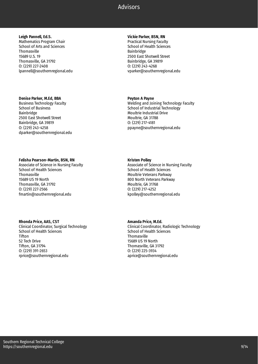# **Leigh Pannell, Ed.S.**

Mathematics Program Chair School of Arts and Sciences Thomasville 15689 U.S. 19 Thomasville, GA 31792 O: (229) 227-2408 lpannell@southernregional.edu

#### **Denise Parker, M.Ed, BBA**

Business Technology Faculty School of Business Bainbridge 2500 East Shotwell Street Bainbridge, GA 39819 O: (229) 243-4258 dparker@southernregional.edu

#### **Felisha Pearson-Martin, BSN, RN**

Associate of Science in Nursing Faculty School of Health Sciences **Thomasville** 15689 US 19 North Thomasville, GA 31792 O: (229) 227-2566 fmartin@southernregional.edu

#### **Rhonda Price, AAS, CST**

Clinical Coordinator, Surgical Technology School of Health Sciences **Tifton** 52 Tech Drive Tifton, GA 31794 O: (229) 391-2653 rprice@southernregional.edu

# **Vickie Parker, BSN, RN**

Practical Nursing Faculty School of Health Sciences Bainbridge 2500 East Shotwell Street Bainbridge, GA 39819 O: (229) 243-4268 vparker@southernregional.edu

# **Peyton A Payne**

Welding and Joining Technology Faculty School of Industrial Technology Moultrie Industrial Drive Moultrie, GA 31788 O: (229) 217-4181 ppayne@southernregional.edu

# **Kristen Polley**

Associate of Science in Nursing Faculty School of Health Sciences Moultrie Veterans Parkway 800 North Veterans Parkway Moultrie, GA 31768 O: (229) 217-4252 kpolley@southernregional.edu

# **Amanda Price, M.Ed.**

Clinical Coordinator, Radiologic Technology School of Health Sciences Thomasville 15689 US 19 North Thomasville, GA 31792 O: (229) 225-3934 aprice@southernregional.edu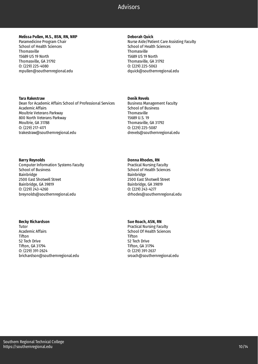#### **Melissa Pullen, M.S., BSN, RN, NRP**

Paramedicine Program Chair School of Health Sciences Thomasville 15689 US 19 North Thomasville, GA 31792 O: (229) 225-4080 mpullen@southernregional.edu

#### **Tara Rakestraw**

Dean for Academic Affairs School of Professional Services Academic Affairs Moultrie Veterans Parkway 800 North Veterans Parkway Moultrie, GA 31788 O: (229) 217-4171 trakestraw@southernregional.edu

#### **Barry Reynolds**

Computer Information Systems Faculty School of Business Bainbridge 2500 East Shotwell Street Bainbridge, GA 39819 O: (229) 243-4260 breynolds@southernregional.edu

# **Becky Richardson**

Tutor Academic Affairs **Tifton** 52 Tech Drive Tifton, GA 31794 O: (229) 391-2624 brichardson@southernregional.edu

#### **Deborah Quick**

Nurse Aide/Patient Care Assisting Faculty School of Health Sciences Thomasville 15689 US 19 North Thomasville, GA 31792 O: (229) 225-5063 dquick@southernregional.edu

#### **Denik Revels**

Business Management Faculty School of Business Thomasville 15689 U.S. 19 Thomasville, GA 31792 O: (229) 225-5087 drevels@southernregional.edu

# **Donna Rhodes, RN**

Practical Nursing Faculty School of Health Sciences Bainbridge 2500 East Shotwell Street Bainbridge, GA 39819 O: (229) 243-4277 drhodes@southernregional.edu

# **Sue Roach, ASN, RN**

Practical Nursing Faculty School Of Health Sciences **Tifton** 52 Tech Drive Tifton, GA 31794 O: (229) 391-2637 sroach@southernregional.edu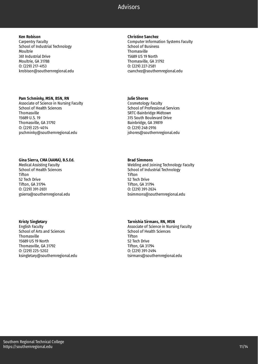**Ken Robison** Carpentry Faculty School of Industrial Technology Moultrie 361 Industrial Drive Moultrie, GA 31788 O: (229) 217-4153 krobison@southernregional.edu

#### **Pam Schminky, MSN, BSN, RN**

Associate of Science in Nursing Faculty School of Health Sciences **Thomasville** 15689 U.S. 19 Thomasville, GA 31792 O: (229) 225-4014 pschminky@southernregional.edu

#### **Gina Sierra, CMA (AAMA), B.S.Ed.**

Medical Assisting Faculty School of Health Sciences Tifton 52 Tech Drive Tifton, GA 31794 O: (229) 391-2651 gsierra@southernregional.edu

# **Kristy Singletary**

English Faculty School of Arts and Sciences Thomasville 15689 US 19 North Thomasville, GA 31792 O: (229) 225-5202 ksingletary@southernregional.edu

#### **Christine Sanchez**

Computer Information Systems Faculty School of Business Thomasville 15689 US 19 North Thomasville, GA 31792 O: (229) 227-2581 csanchez@southernregional.edu

#### **Julie Shores**

Cosmetology Faculty School of Professional Services SRTC-Bainbridge Midtown 315 South Boulevard Drive Bainbridge, GA 39819 O: (229) 248-2916 jshores@southernregional.edu

#### **Brad Simmons**

Welding and Joining Technology Faculty School of Industrial Technology **Tifton** 52 Tech Drive Tifton, GA 31794 O: (229) 391-2634 bsimmons@southernregional.edu

# **Tarnishia Sirmans, RN, MSN**

Associate of Science in Nursing Faculty School of Health Sciences **Tifton** 52 Tech Drive Tifton, GA 31794 O: (229) 391-2494 tsirmans@southernregional.edu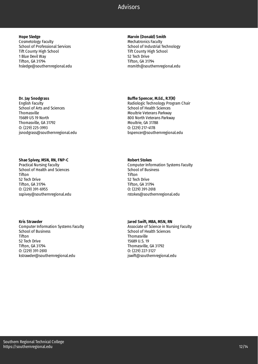**Hope Sledge** Cosmetology Faculty School of Professional Services Tift County High School 1 Blue Devil Way Tifton, GA 31794 hsledge@southernregional.edu

#### **Dr. Jay Snodgrass**

English Faculty School of Arts and Sciences **Thomasville** 15689 US 19 North Thomasville, GA 31792 O: (229) 225-3993 jsnodgrass@southernregional.edu

#### **Shae Spivey, MSN, RN, FNP-C**

Practical Nursing Faculty School of Health and Sciences Tifton 52 Tech Drive Tifton, GA 31794 O: (229) 391-6955 sspivey@southernregional.edu

#### **Kris Strawder**

Computer Information Systems Faculty School of Business **Tifton** 52 Tech Drive Tifton, GA 31794 O: (229) 391-2610 kstrawder@southernregional.edu

**Marvin (Donald) Smith** Mechatronics Faculty School of Industrial Technology Tift County High School 52 Tech Drive Tifton, GA 31794 msmith@southernregional.edu

# **Buffie Spencer, M.Ed., R.T(R)**

Radiologic Technology Program Chair School of Health Sciences Moultrie Veterans Parkway 800 North Veterans Parkway Moultrie, GA 31788 O: (229) 217-4178 bspencer@southernregional.edu

# **Robert Stokes**

Computer Information Systems Faculty School of Business Tifton 52 Tech Drive Tifton, GA 31794 O: (229) 391-2618 rstokes@southernregional.edu

# **Jared Swift, MBA, MSN, RN**

Associate of Science in Nursing Faculty School of Health Sciences **Thomasville** 15689 U.S. 19 Thomasville, GA 31792 O: (229) 227-3127 jswift@southernregional.edu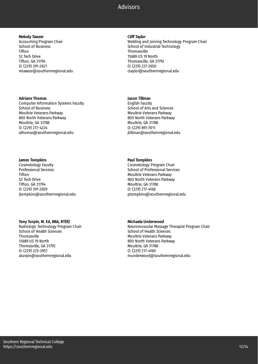#### **Melody Tawzer**

Accounting Program Chair School of Business Tifton 52 Tech Drive Tifton, GA 31794 O: (229) 391-2621 mtawzer@southernregional.edu

#### **Adriane Thomas**

Computer Information Systems Faculty School of Business Moultrie Veterans Parkway 800 North Veterans Parkway Moultrie, GA 31788 O: (229) 217-4224 athomas@southernregional.edu

#### **James Tompkins**

Cosmetology Faculty Professional Services Tifton 52 Tech Drive Tifton, GA 31794 O: (229) 391-2659 jtompkins@southernregional.edu

# **Tony Turpin, M. Ed, BBA, RT(R)**

Radiologic Technology Program Chair School of Health Sciences **Thomasville** 15689 US 19 North Thomasville, GA 31792 O: (229) 225-3957 aturpin@southernregional.edu

#### **Cliff Taylor**

Welding and Joining Technology Program Chair School of Industrial Technology Thomasville 15689 US 19 North Thomasville, GA 31792 O: (229) 227-2650 ctaylor@southernregional.edu

### **Jason Tillman**

English Faculty School of Arts and Sciences Moultrie Veterans Parkway 800 North Veterans Parkway Moultrie, GA 31788 O: (229) 891-7011 jtillman@southernregional.edu

# **Paul Tompkins**

Cosmetology Program Chair School of Professional Services Moultrie Veterans Parkway 800 North Veterans Parkway Moultrie, GA 31788 O: (229) 217-4168 ptompkins@southernregional.edu

# **Michaela Underwood**

Neuromuscular Massage Therapist Program Chair School of Health Sciences Moultrie Veterans Parkway 800 North Veterans Parkway Moultrie, GA 31788 O: (229) 217-4160 munderwood@southernregional.edu